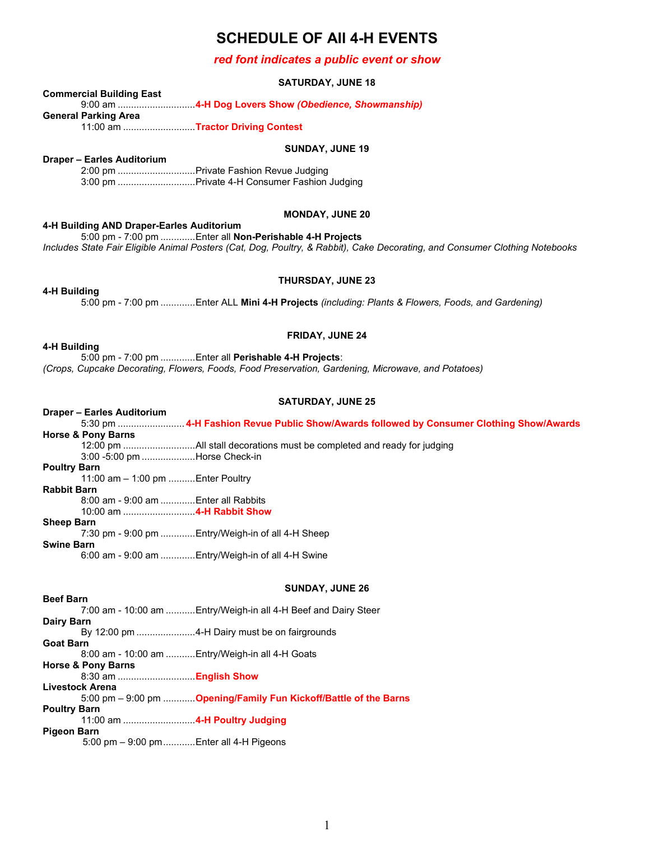# **SCHEDULE OF All 4-H EVENTS**

## *red font indicates a public event or show*

### **SATURDAY, JUNE 18**

## **Commercial Building East**

9:00 am .............................**4-H Dog Lovers Show** *(Obedience, Showmanship)*

**General Parking Area**

11:00 am ...........................**Tractor Driving Contest**

#### **SUNDAY, JUNE 19**

#### **Draper – Earles Auditorium**

2:00 pm .............................Private Fashion Revue Judging 3:00 pm .............................Private 4-H Consumer Fashion Judging

#### **MONDAY, JUNE 20**

#### **4-H Building AND Draper-Earles Auditorium**

5:00 pm - 7:00 pm .............Enter all **Non-Perishable 4-H Projects** *Includes State Fair Eligible Animal Posters (Cat, Dog, Poultry, & Rabbit), Cake Decorating, and Consumer Clothing Notebooks*

#### **4-H Building**

**THURSDAY, JUNE 23**

5:00 pm - 7:00 pm .............Enter ALL **Mini 4-H Projects** *(including: Plants & Flowers, Foods, and Gardening)*

# **FRIDAY, JUNE 24**

**4-H Building**

5:00 pm - 7:00 pm .............Enter all **Perishable 4-H Projects**: *(Crops, Cupcake Decorating, Flowers, Foods, Food Preservation, Gardening, Microwave, and Potatoes)*

#### **SATURDAY, JUNE 25**

# **Draper – Earles Auditorium**

5:30 pm ......................... **4-H Fashion Revue Public Show/Awards followed by Consumer Clothing Show/Awards Horse & Pony Barns** 12:00 pm ...........................All stall decorations must be completed and ready for judging 3:00 -5:00 pm ....................Horse Check-in **Poultry Barn** 11:00 am – 1:00 pm ..........Enter Poultry **Rabbit Barn** 8:00 am - 9:00 am .............Enter all Rabbits 10:00 am ...........................**4-H Rabbit Show Sheep Barn** 7:30 pm - 9:00 pm .............Entry/Weigh-in of all 4-H Sheep **Swine Barn** 6:00 am - 9:00 am .............Entry/Weigh-in of all 4-H Swine

## **SUNDAY, JUNE 26**

**Beef Barn** 7:00 am - 10:00 am ...........Entry/Weigh-in all 4-H Beef and Dairy Steer **Dairy Barn** By 12:00 pm ......................4-H Dairy must be on fairgrounds **Goat Barn** 8:00 am - 10:00 am ...........Entry/Weigh-in all 4-H Goats **Horse & Pony Barns** 8:30 am .............................**English Show Livestock Arena** 5:00 pm – 9:00 pm ............**Opening/Family Fun Kickoff/Battle of the Barns Poultry Barn** 11:00 am ...........................**4-H Poultry Judging Pigeon Barn** 5:00 pm – 9:00 pm............Enter all 4-H Pigeons